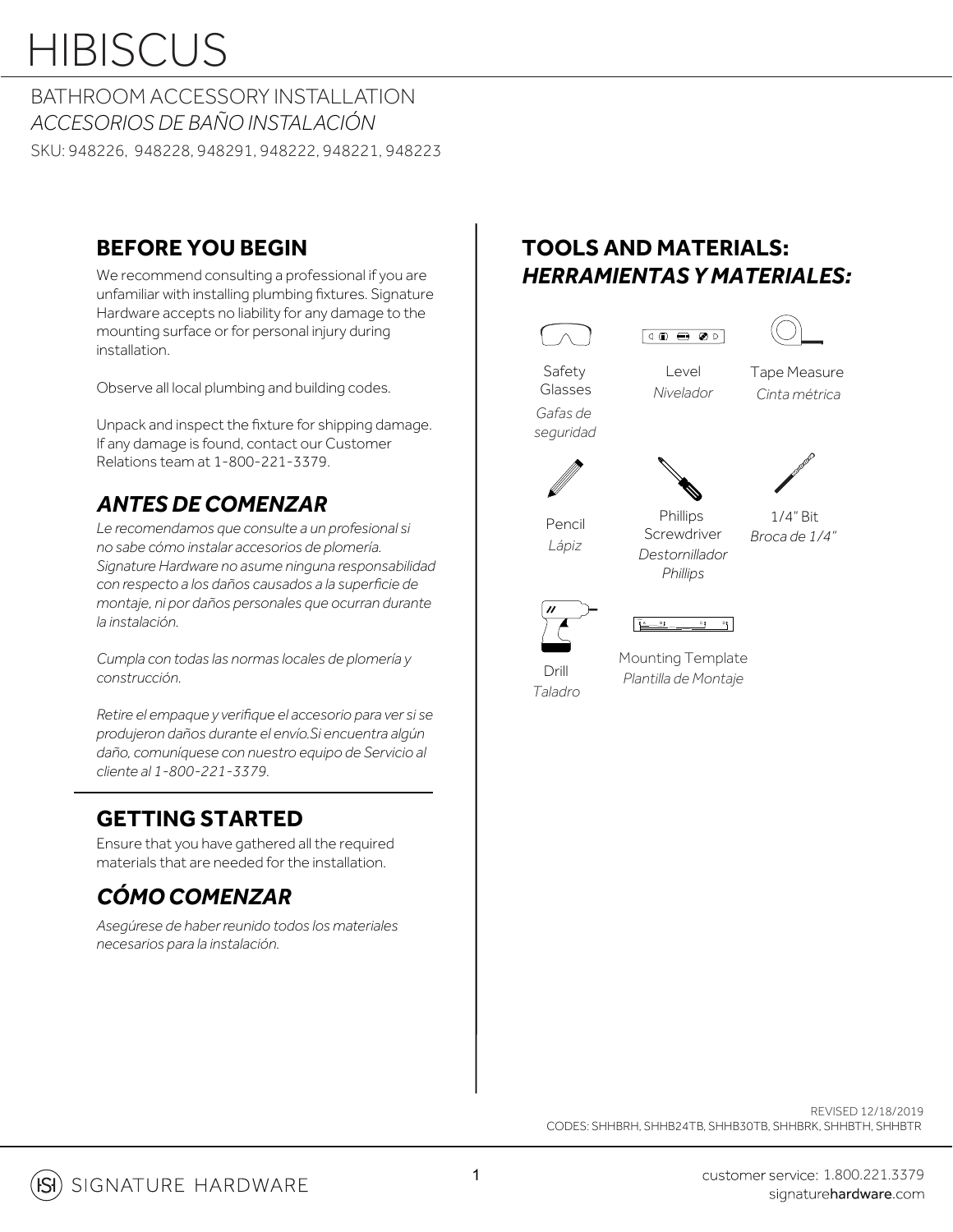# HIBISCUS

BATHROOM ACCESSORY INSTALL ATION *ACCESORIOS DE BAÑO INSTALACIÓN*  SKU: 948226, 948228, 948291, 948222, 948221, 948223

### **BEFORE YOU BEGIN**

We recommend consulting a professional if you are unfamiliar with installing plumbing fixtures. Signature Hardware accepts no liability for any damage to the mounting surface or for personal injury during installation.

Observe all local plumbing and building codes.

Unpack and inspect the fixture for shipping damage. If any damage is found, contact our Customer Relations team at 1-800-221-3379.

### *ANTES DE COMENZAR*

*Le recomendamos que consulte a un profesional si no sabe cómo instalar accesorios de plomería. Signature Hardware no asume ninguna responsabilidad con respecto a los daños causados a la superficie de montaje, ni por daños personales que ocurran durante la instalación.*

*Cumpla con todas las normas locales de plomería y construcción.*

*Retire el empaque y verifique el accesorio para ver si se produjeron daños durante el envío.Si encuentra algún daño, comuníquese con nuestro equipo de Servicio al cliente al 1-800-221-3379.*

#### **GETTING STARTED**

Ensure that you have gathered all the required materials that are needed for the installation.

# *CÓMO COMENZAR*

*Asegúrese de haber reunido todos los materiales necesarios para la instalación.*

## **TOOLS AND MATERIALS:** *HERRAMIENTAS Y MATERIALES:*







*Cinta métrica*

Safety Glasses *Gafas de* 

Level *Nivelador* Tape Measure





*seguridad*



 $1/A''$  Rit

*Broca de 1/4"* 

Pencil *Lápiz*

**Phillips Screwdriver** *Destornillador Phillips*





Drill *Taladro*

Mounting Template *Plantilla de Montaje*

REVISED 12/18/2019 CODES: SHHBRH, SHHB24TB, SHHB30TB, SHHBRK, SHHBTH, SHHBTR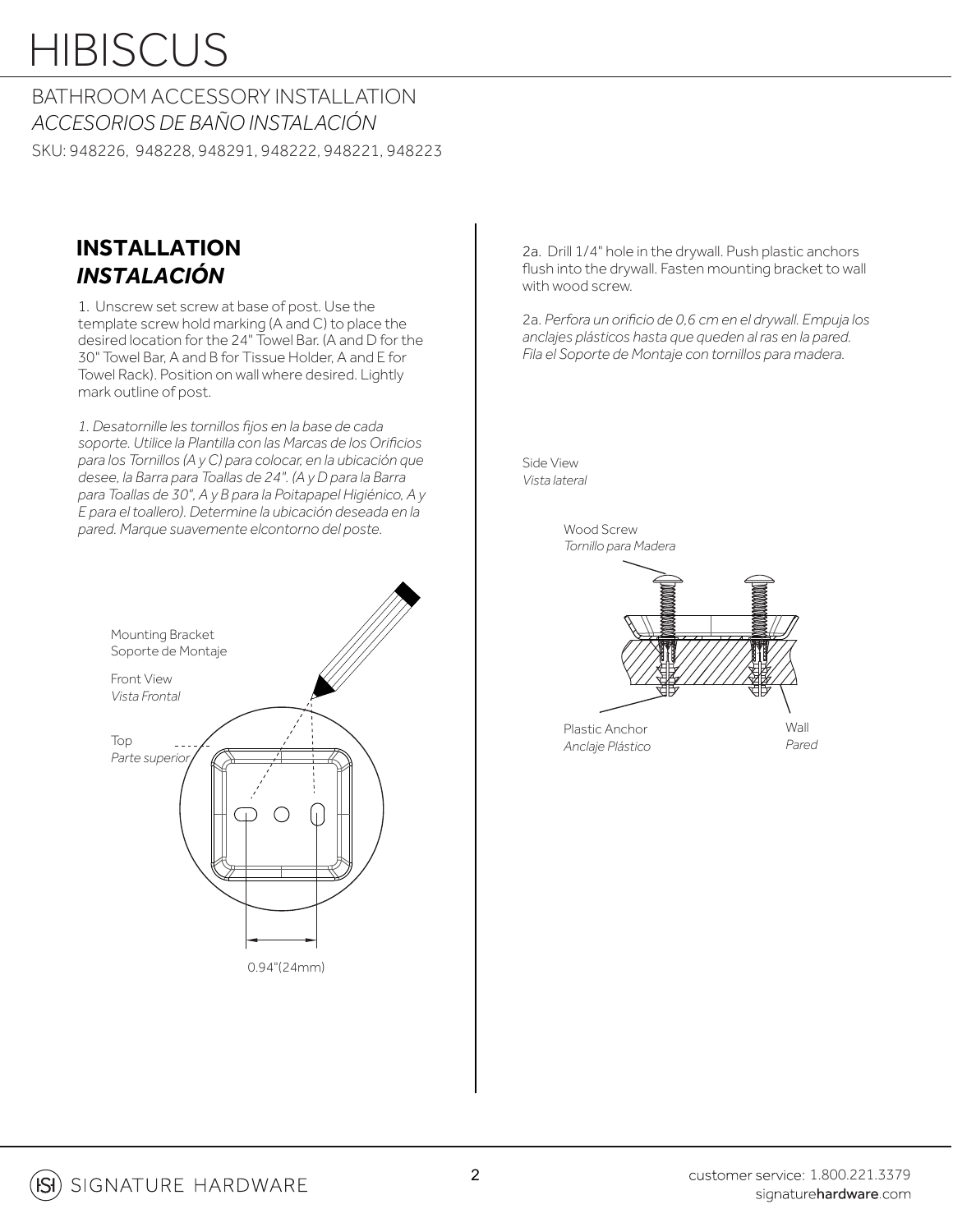# **HIBISCUS**

BATHROOM ACCESSORY INSTALLATION *ACCESORIOS DE BAÑO INSTALACIÓN*  SKU: 948226, 948228, 948291, 948222, 948221, 948223

### **INSTALLATION** *INSTALACIÓN*

1. Unscrew set screw at base of post. Use the template screw hold marking (A and C) to place the desired location for the 24" Towel Bar. (A and D for the 30" Towel Bar, A and B for Tissue Holder, A and E for Towel Rack). Position on wall where desired. Lightly mark outline of post.

*1. Desatornille les tornillos fijos en la base de cada soporte. Utilice la Plantilla con las Marcas de los Orificios para los Tornillos (A y C) para colocar, en la ubicación que desee, la Barra para Toallas de 24". (A y D para la Barra para Toallas de 30", A y B para la Poitapapel Higiénico, A y E para el toallero). Determine la ubicación deseada en la pared. Marque suavemente elcontorno del poste.*



2a. Drill 1/4" hole in the drywall. Push plastic anchors flush into the drywall. Fasten mounting bracket to wall with wood screw.

2a. *Perfora un orificio de 0,6 cm en el drywall. Empuja los anclajes plásticos hasta que queden al ras en la pared. Fila el Soporte de Montaje con tornillos para madera.*

Side View *Vista lateral*



SIGNATURE HARDWARE